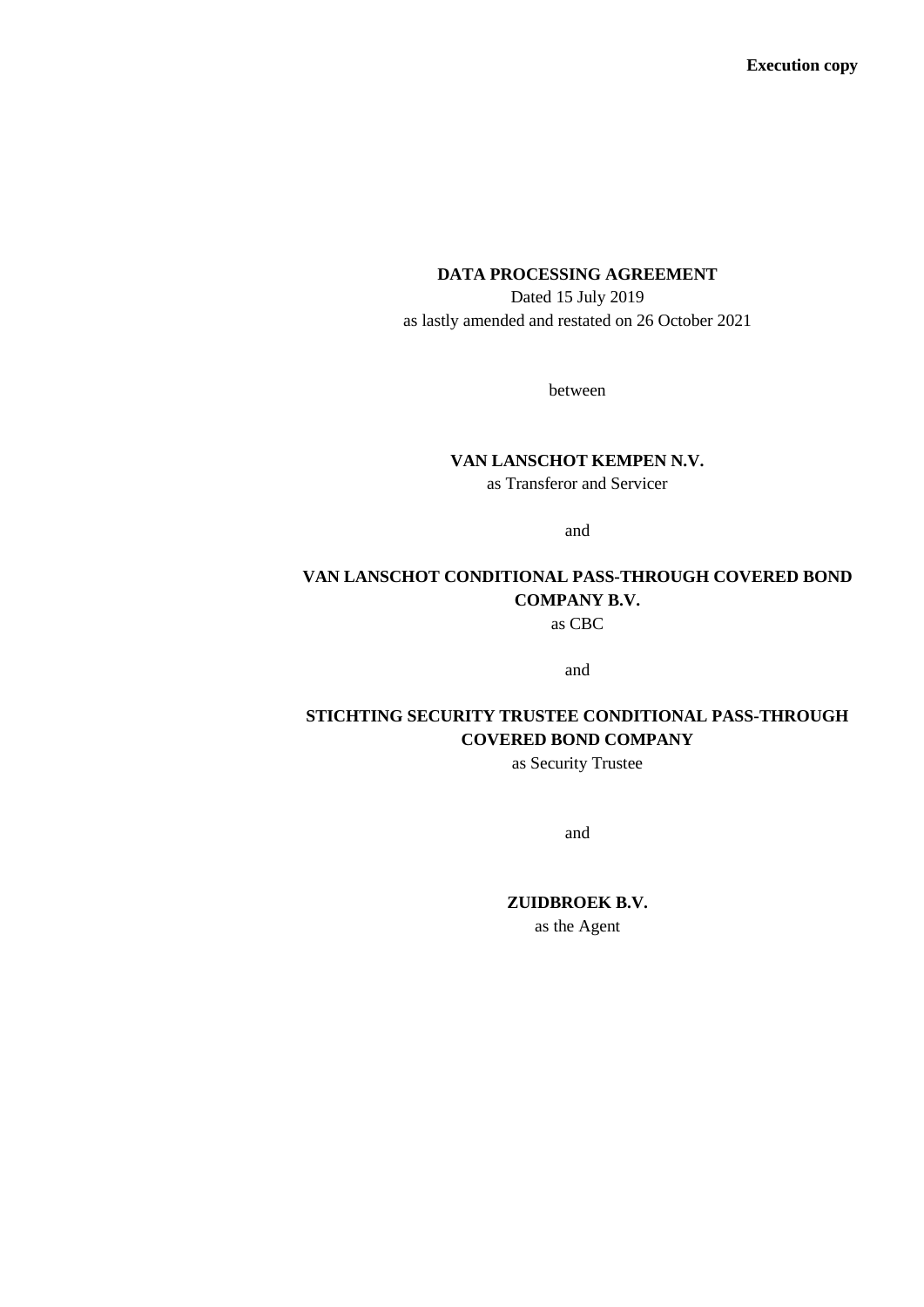#### **DATA PROCESSING AGREEMENT**

Dated 15 July 2019 as lastly amended and restated on 26 October 2021

between

# **VAN LANSCHOT KEMPEN N.V.**

as Transferor and Servicer

and

# **VAN LANSCHOT CONDITIONAL PASS-THROUGH COVERED BOND COMPANY B.V.**

as CBC

and

# **STICHTING SECURITY TRUSTEE CONDITIONAL PASS-THROUGH COVERED BOND COMPANY**

as Security Trustee

and

**ZUIDBROEK B.V.**

as the Agent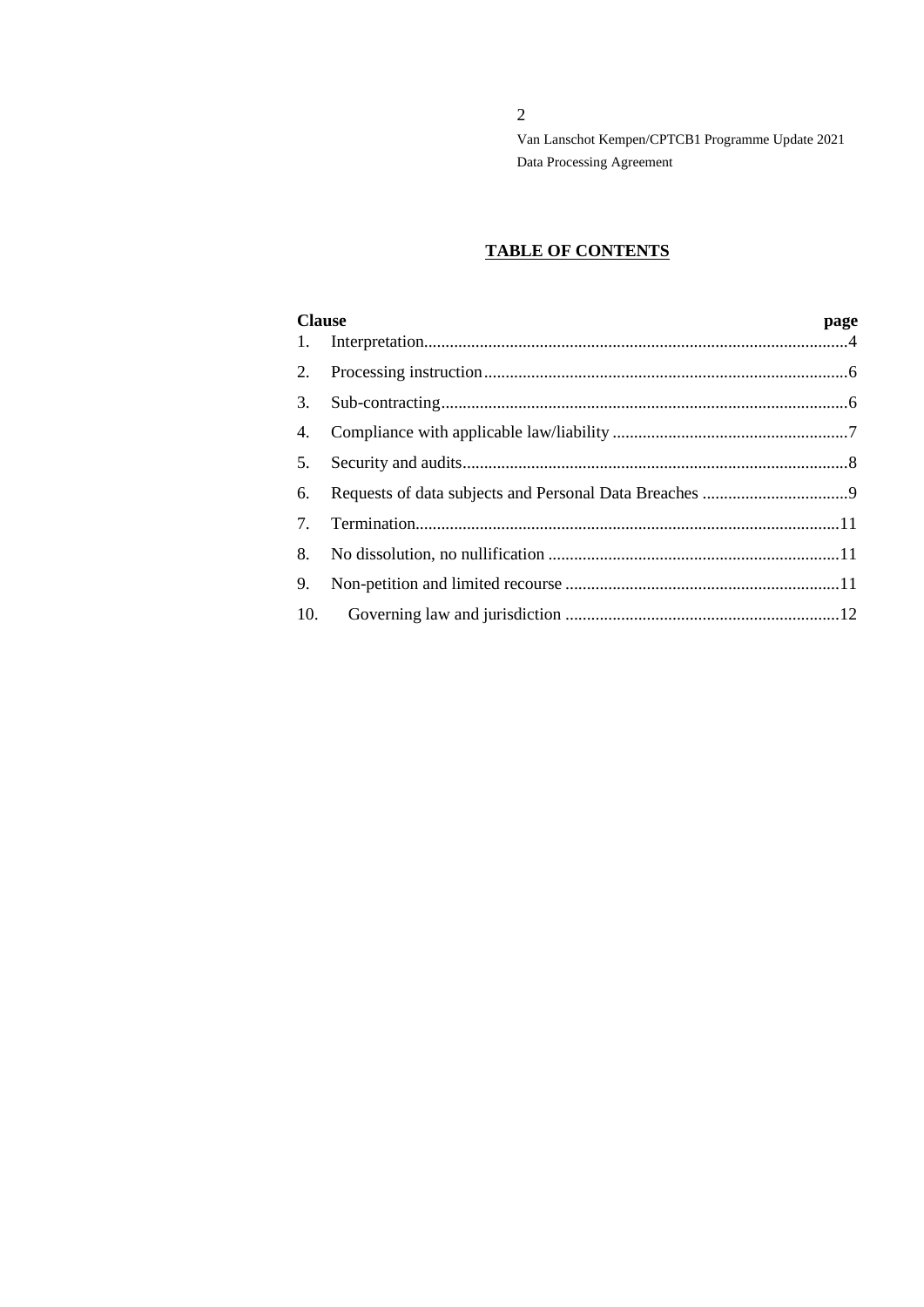2

Van Lanschot Kempen/CPTCB1 Programme Update 2021 Data Processing Agreement

# **TABLE OF CONTENTS**

| <b>Clause</b> |  | page |  |
|---------------|--|------|--|
| 1.            |  |      |  |
| 2.            |  |      |  |
| 3.            |  |      |  |
| 4.            |  |      |  |
| 5.            |  |      |  |
| 6.            |  |      |  |
| 7.            |  |      |  |
| 8.            |  |      |  |
| 9.            |  |      |  |
| 10.           |  |      |  |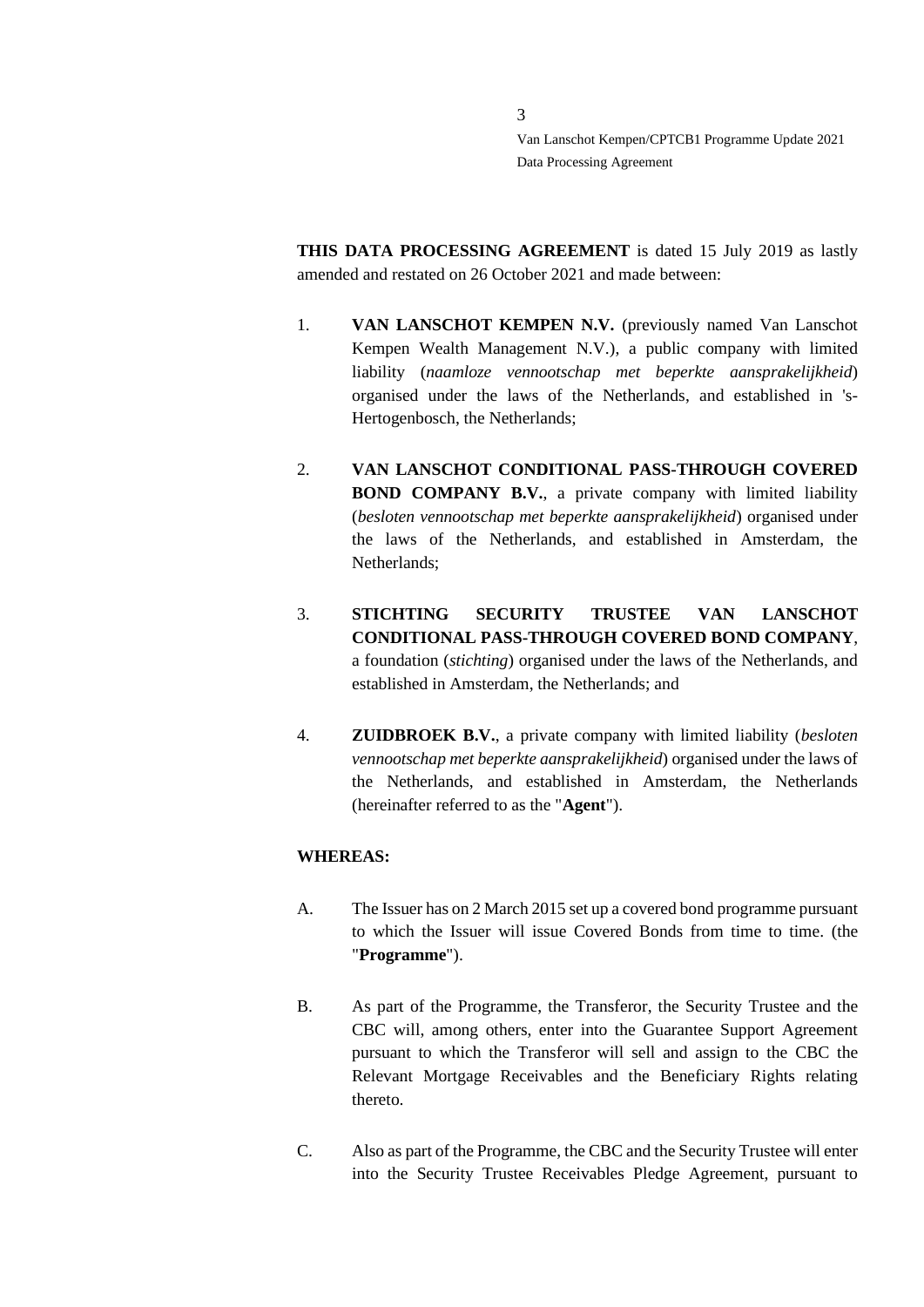**THIS DATA PROCESSING AGREEMENT** is dated 15 July 2019 as lastly amended and restated on 26 October 2021 and made between:

- 1. **VAN LANSCHOT KEMPEN N.V.** (previously named Van Lanschot Kempen Wealth Management N.V.), a public company with limited liability (*naamloze vennootschap met beperkte aansprakelijkheid*) organised under the laws of the Netherlands, and established in 's-Hertogenbosch, the Netherlands;
- 2. **VAN LANSCHOT CONDITIONAL PASS-THROUGH COVERED BOND COMPANY B.V.**, a private company with limited liability (*besloten vennootschap met beperkte aansprakelijkheid*) organised under the laws of the Netherlands, and established in Amsterdam, the Netherlands;
- 3. **STICHTING SECURITY TRUSTEE VAN LANSCHOT CONDITIONAL PASS-THROUGH COVERED BOND COMPANY**, a foundation (*stichting*) organised under the laws of the Netherlands, and established in Amsterdam, the Netherlands; and
- 4. **ZUIDBROEK B.V.**, a private company with limited liability (*besloten vennootschap met beperkte aansprakelijkheid*) organised under the laws of the Netherlands, and established in Amsterdam, the Netherlands (hereinafter referred to as the "**Agent**").

## **WHEREAS:**

- A. The Issuer has on 2 March 2015 set up a covered bond programme pursuant to which the Issuer will issue Covered Bonds from time to time. (the "**Programme**").
- B. As part of the Programme, the Transferor, the Security Trustee and the CBC will, among others, enter into the Guarantee Support Agreement pursuant to which the Transferor will sell and assign to the CBC the Relevant Mortgage Receivables and the Beneficiary Rights relating thereto.
- C. Also as part of the Programme, the CBC and the Security Trustee will enter into the Security Trustee Receivables Pledge Agreement, pursuant to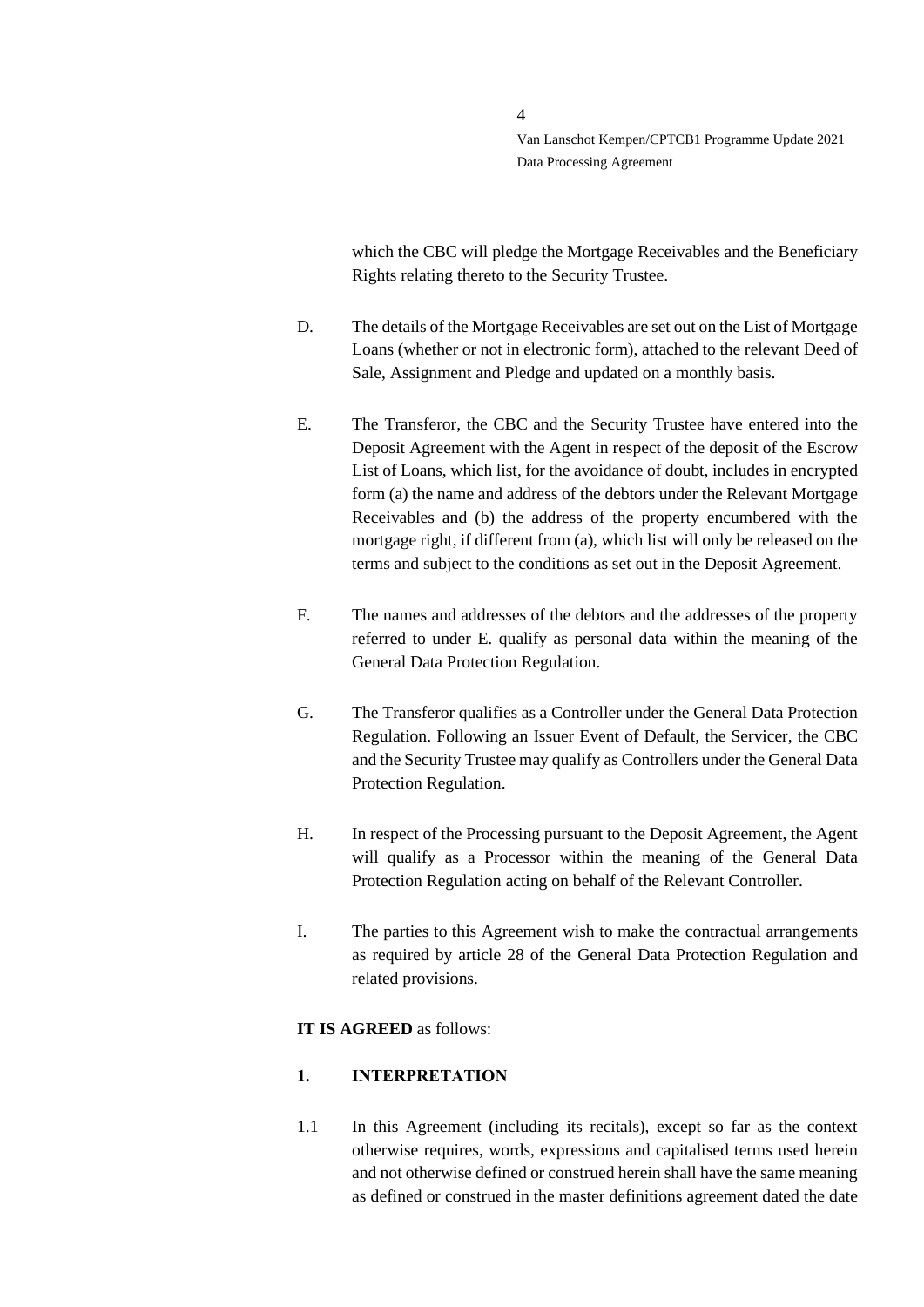which the CBC will pledge the Mortgage Receivables and the Beneficiary Rights relating thereto to the Security Trustee.

- D. The details of the Mortgage Receivables are set out on the List of Mortgage Loans (whether or not in electronic form), attached to the relevant Deed of Sale, Assignment and Pledge and updated on a monthly basis.
- E. The Transferor, the CBC and the Security Trustee have entered into the Deposit Agreement with the Agent in respect of the deposit of the Escrow List of Loans, which list, for the avoidance of doubt, includes in encrypted form (a) the name and address of the debtors under the Relevant Mortgage Receivables and (b) the address of the property encumbered with the mortgage right, if different from (a), which list will only be released on the terms and subject to the conditions as set out in the Deposit Agreement.
- F. The names and addresses of the debtors and the addresses of the property referred to under E. qualify as personal data within the meaning of the General Data Protection Regulation.
- G. The Transferor qualifies as a Controller under the General Data Protection Regulation. Following an Issuer Event of Default, the Servicer, the CBC and the Security Trustee may qualify as Controllers under the General Data Protection Regulation.
- H. In respect of the Processing pursuant to the Deposit Agreement, the Agent will qualify as a Processor within the meaning of the General Data Protection Regulation acting on behalf of the Relevant Controller.
- I. The parties to this Agreement wish to make the contractual arrangements as required by article 28 of the General Data Protection Regulation and related provisions.

### **IT IS AGREED** as follows:

### <span id="page-3-0"></span>**1. INTERPRETATION**

1.1 In this Agreement (including its recitals), except so far as the context otherwise requires, words, expressions and capitalised terms used herein and not otherwise defined or construed herein shall have the same meaning as defined or construed in the master definitions agreement dated the date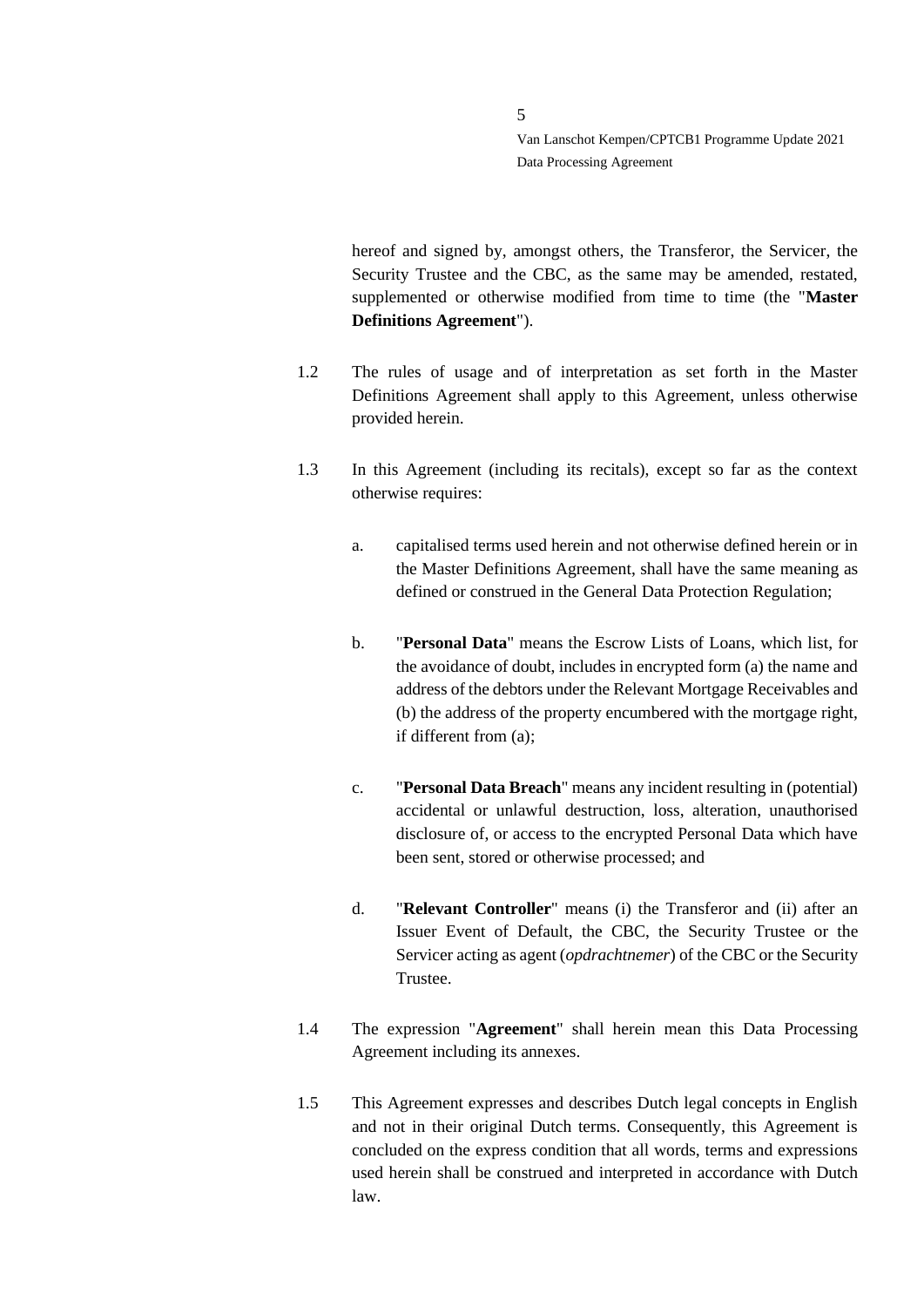hereof and signed by, amongst others, the Transferor, the Servicer, the Security Trustee and the CBC, as the same may be amended, restated, supplemented or otherwise modified from time to time (the "**Master Definitions Agreement**").

- 1.2 The rules of usage and of interpretation as set forth in the Master Definitions Agreement shall apply to this Agreement, unless otherwise provided herein.
- 1.3 In this Agreement (including its recitals), except so far as the context otherwise requires:
	- a. capitalised terms used herein and not otherwise defined herein or in the Master Definitions Agreement, shall have the same meaning as defined or construed in the General Data Protection Regulation;
	- b. "**Personal Data**" means the Escrow Lists of Loans, which list, for the avoidance of doubt, includes in encrypted form (a) the name and address of the debtors under the Relevant Mortgage Receivables and (b) the address of the property encumbered with the mortgage right, if different from (a);
	- c. "**Personal Data Breach**" means any incident resulting in (potential) accidental or unlawful destruction, loss, alteration, unauthorised disclosure of, or access to the encrypted Personal Data which have been sent, stored or otherwise processed; and
	- d. "**Relevant Controller**" means (i) the Transferor and (ii) after an Issuer Event of Default, the CBC, the Security Trustee or the Servicer acting as agent (*opdrachtnemer*) of the CBC or the Security Trustee.
- 1.4 The expression "**Agreement**" shall herein mean this Data Processing Agreement including its annexes.
- 1.5 This Agreement expresses and describes Dutch legal concepts in English and not in their original Dutch terms. Consequently, this Agreement is concluded on the express condition that all words, terms and expressions used herein shall be construed and interpreted in accordance with Dutch law.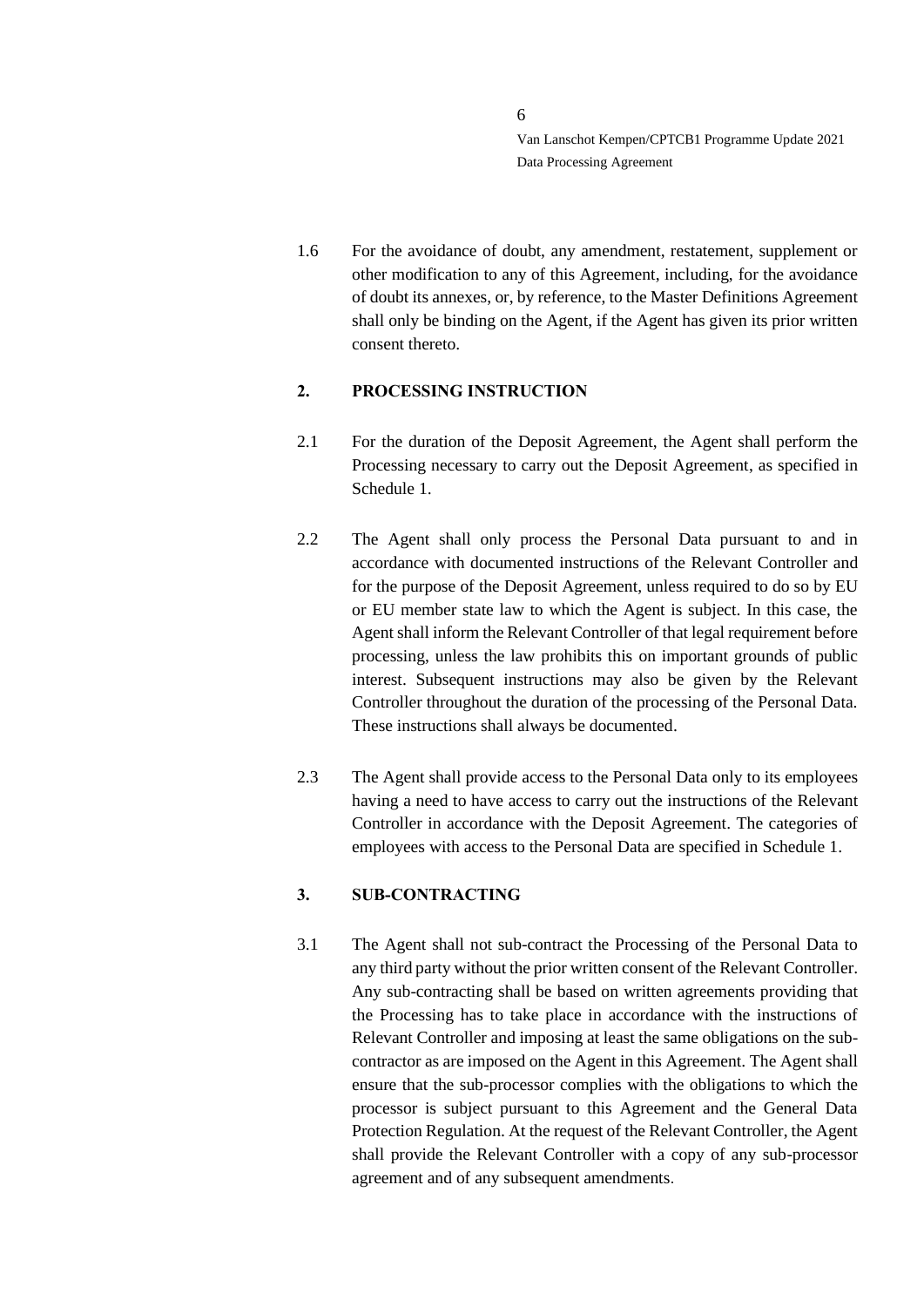1.6 For the avoidance of doubt, any amendment, restatement, supplement or other modification to any of this Agreement, including, for the avoidance of doubt its annexes, or, by reference, to the Master Definitions Agreement shall only be binding on the Agent, if the Agent has given its prior written consent thereto.

### <span id="page-5-0"></span>**2. PROCESSING INSTRUCTION**

- 2.1 For the duration of the Deposit Agreement, the Agent shall perform the Processing necessary to carry out the Deposit Agreement, as specified in Schedule 1.
- 2.2 The Agent shall only process the Personal Data pursuant to and in accordance with documented instructions of the Relevant Controller and for the purpose of the Deposit Agreement, unless required to do so by EU or EU member state law to which the Agent is subject. In this case, the Agent shall inform the Relevant Controller of that legal requirement before processing, unless the law prohibits this on important grounds of public interest. Subsequent instructions may also be given by the Relevant Controller throughout the duration of the processing of the Personal Data. These instructions shall always be documented.
- 2.3 The Agent shall provide access to the Personal Data only to its employees having a need to have access to carry out the instructions of the Relevant Controller in accordance with the Deposit Agreement. The categories of employees with access to the Personal Data are specified in Schedule 1.

## <span id="page-5-1"></span>**3. SUB-CONTRACTING**

3.1 The Agent shall not sub-contract the Processing of the Personal Data to any third party without the prior written consent of the Relevant Controller. Any sub-contracting shall be based on written agreements providing that the Processing has to take place in accordance with the instructions of Relevant Controller and imposing at least the same obligations on the subcontractor as are imposed on the Agent in this Agreement. The Agent shall ensure that the sub-processor complies with the obligations to which the processor is subject pursuant to this Agreement and the General Data Protection Regulation. At the request of the Relevant Controller, the Agent shall provide the Relevant Controller with a copy of any sub-processor agreement and of any subsequent amendments.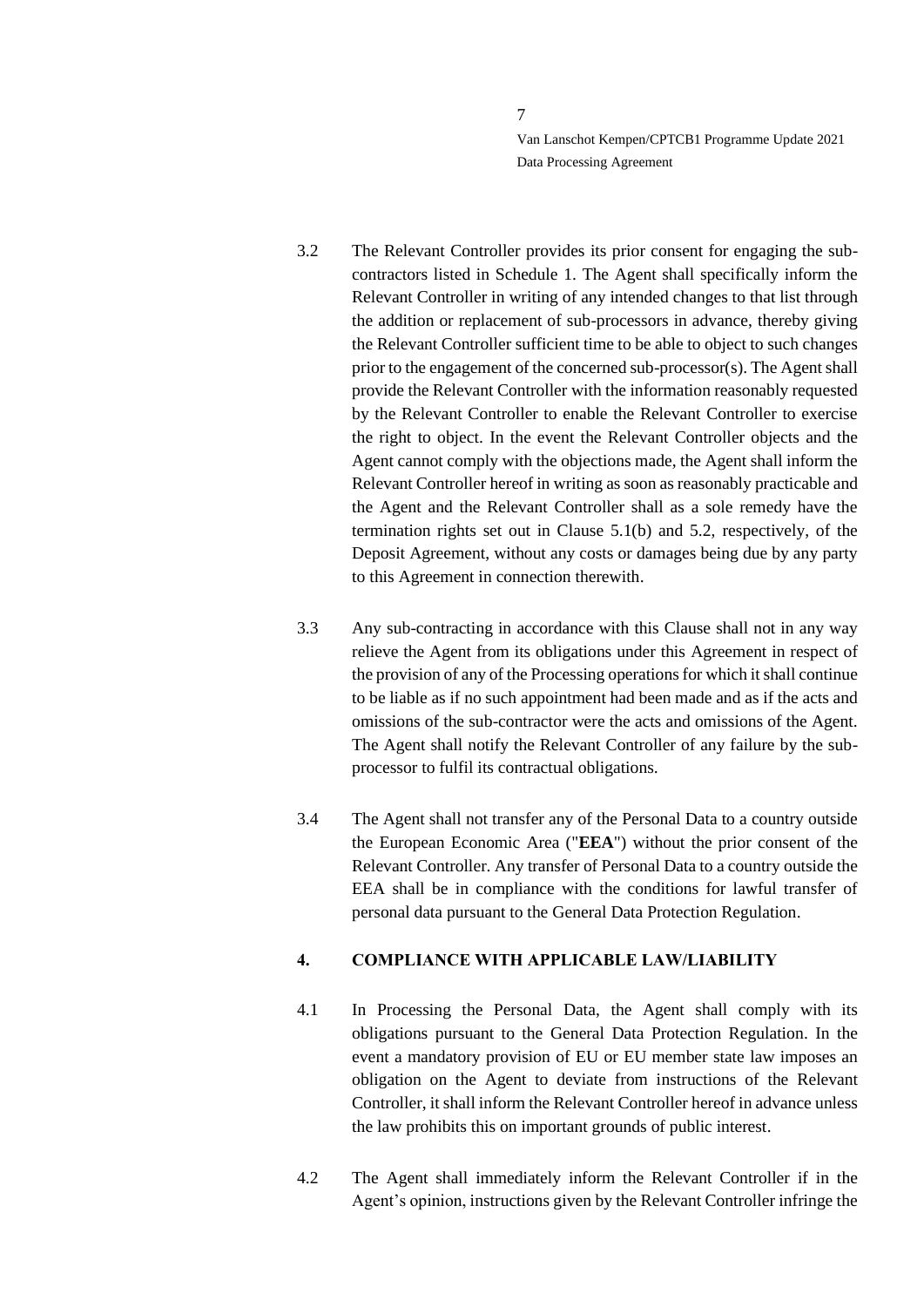- 3.2 The Relevant Controller provides its prior consent for engaging the subcontractors listed in Schedule 1. The Agent shall specifically inform the Relevant Controller in writing of any intended changes to that list through the addition or replacement of sub-processors in advance, thereby giving the Relevant Controller sufficient time to be able to object to such changes prior to the engagement of the concerned sub-processor(s). The Agent shall provide the Relevant Controller with the information reasonably requested by the Relevant Controller to enable the Relevant Controller to exercise the right to object. In the event the Relevant Controller objects and the Agent cannot comply with the objections made, the Agent shall inform the Relevant Controller hereof in writing as soon as reasonably practicable and the Agent and the Relevant Controller shall as a sole remedy have the termination rights set out in Clause 5.1(b) and 5.2, respectively, of the Deposit Agreement, without any costs or damages being due by any party to this Agreement in connection therewith.
- 3.3 Any sub-contracting in accordance with this Clause shall not in any way relieve the Agent from its obligations under this Agreement in respect of the provision of any of the Processing operations for which it shall continue to be liable as if no such appointment had been made and as if the acts and omissions of the sub-contractor were the acts and omissions of the Agent. The Agent shall notify the Relevant Controller of any failure by the subprocessor to fulfil its contractual obligations.
- 3.4 The Agent shall not transfer any of the Personal Data to a country outside the European Economic Area ("**EEA**") without the prior consent of the Relevant Controller. Any transfer of Personal Data to a country outside the EEA shall be in compliance with the conditions for lawful transfer of personal data pursuant to the General Data Protection Regulation.

## <span id="page-6-0"></span>**4. COMPLIANCE WITH APPLICABLE LAW/LIABILITY**

- 4.1 In Processing the Personal Data, the Agent shall comply with its obligations pursuant to the General Data Protection Regulation. In the event a mandatory provision of EU or EU member state law imposes an obligation on the Agent to deviate from instructions of the Relevant Controller, it shall inform the Relevant Controller hereof in advance unless the law prohibits this on important grounds of public interest.
- 4.2 The Agent shall immediately inform the Relevant Controller if in the Agent's opinion, instructions given by the Relevant Controller infringe the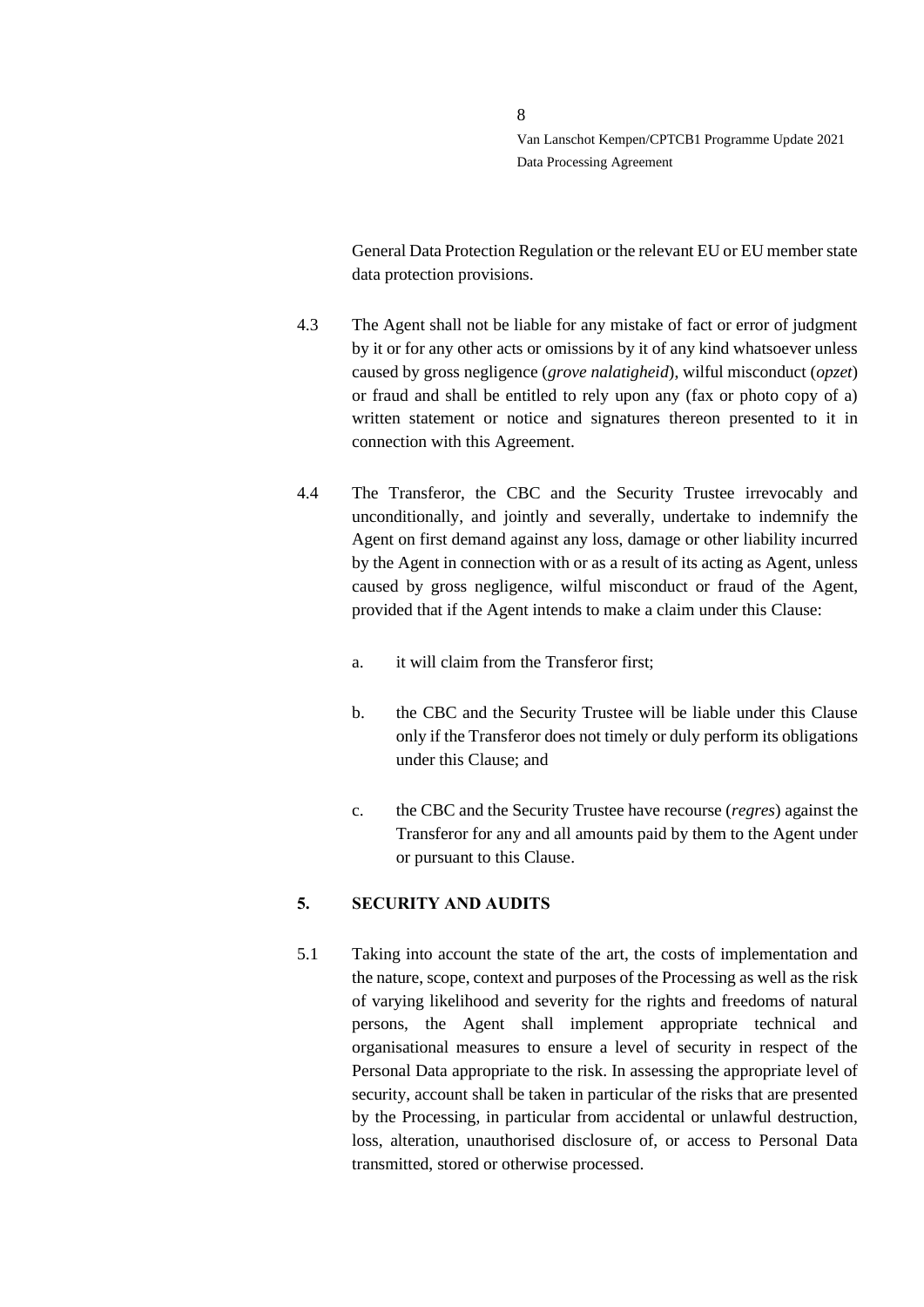General Data Protection Regulation or the relevant EU or EU member state data protection provisions.

- 4.3 The Agent shall not be liable for any mistake of fact or error of judgment by it or for any other acts or omissions by it of any kind whatsoever unless caused by gross negligence (*grove nalatigheid*), wilful misconduct (*opzet*) or fraud and shall be entitled to rely upon any (fax or photo copy of a) written statement or notice and signatures thereon presented to it in connection with this Agreement.
- 4.4 The Transferor, the CBC and the Security Trustee irrevocably and unconditionally, and jointly and severally, undertake to indemnify the Agent on first demand against any loss, damage or other liability incurred by the Agent in connection with or as a result of its acting as Agent, unless caused by gross negligence, wilful misconduct or fraud of the Agent, provided that if the Agent intends to make a claim under this Clause:
	- a. it will claim from the Transferor first;
	- b. the CBC and the Security Trustee will be liable under this Clause only if the Transferor does not timely or duly perform its obligations under this Clause; and
	- c. the CBC and the Security Trustee have recourse (*regres*) against the Transferor for any and all amounts paid by them to the Agent under or pursuant to this Clause.

### <span id="page-7-0"></span>**5. SECURITY AND AUDITS**

5.1 Taking into account the state of the art, the costs of implementation and the nature, scope, context and purposes of the Processing as well as the risk of varying likelihood and severity for the rights and freedoms of natural persons, the Agent shall implement appropriate technical and organisational measures to ensure a level of security in respect of the Personal Data appropriate to the risk. In assessing the appropriate level of security, account shall be taken in particular of the risks that are presented by the Processing, in particular from accidental or unlawful destruction, loss, alteration, unauthorised disclosure of, or access to Personal Data transmitted, stored or otherwise processed.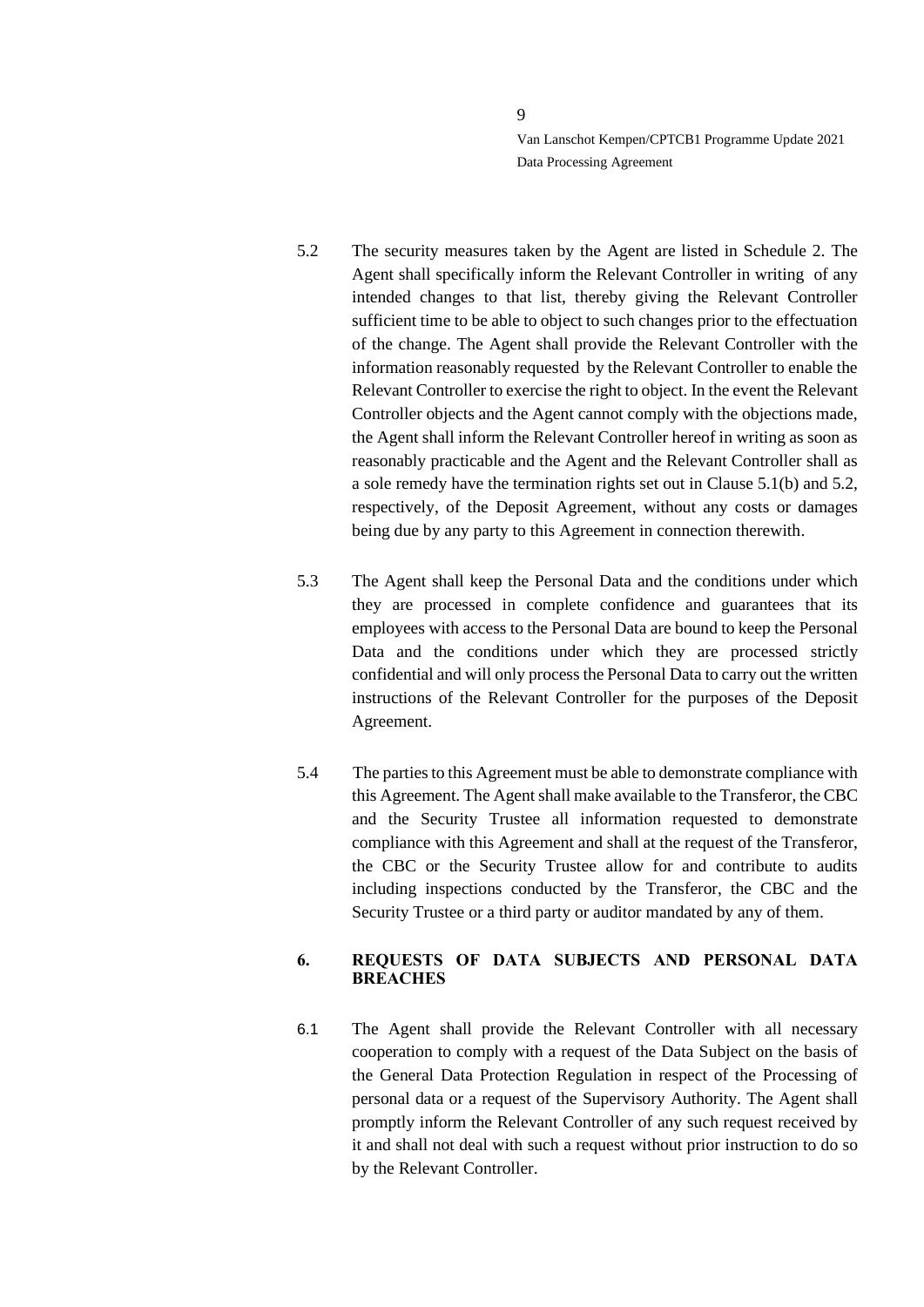- 5.2 The security measures taken by the Agent are listed in Schedule 2. The Agent shall specifically inform the Relevant Controller in writing of any intended changes to that list, thereby giving the Relevant Controller sufficient time to be able to object to such changes prior to the effectuation of the change. The Agent shall provide the Relevant Controller with the information reasonably requested by the Relevant Controller to enable the Relevant Controller to exercise the right to object. In the event the Relevant Controller objects and the Agent cannot comply with the objections made, the Agent shall inform the Relevant Controller hereof in writing as soon as reasonably practicable and the Agent and the Relevant Controller shall as a sole remedy have the termination rights set out in Clause 5.1(b) and 5.2, respectively, of the Deposit Agreement, without any costs or damages being due by any party to this Agreement in connection therewith.
- 5.3 The Agent shall keep the Personal Data and the conditions under which they are processed in complete confidence and guarantees that its employees with access to the Personal Data are bound to keep the Personal Data and the conditions under which they are processed strictly confidential and will only process the Personal Data to carry out the written instructions of the Relevant Controller for the purposes of the Deposit Agreement.
- 5.4 The parties to this Agreement must be able to demonstrate compliance with this Agreement. The Agent shall make available to the Transferor, the CBC and the Security Trustee all information requested to demonstrate compliance with this Agreement and shall at the request of the Transferor, the CBC or the Security Trustee allow for and contribute to audits including inspections conducted by the Transferor, the CBC and the Security Trustee or a third party or auditor mandated by any of them.

### <span id="page-8-0"></span>**6. REQUESTS OF DATA SUBJECTS AND PERSONAL DATA BREACHES**

6.1 The Agent shall provide the Relevant Controller with all necessary cooperation to comply with a request of the Data Subject on the basis of the General Data Protection Regulation in respect of the Processing of personal data or a request of the Supervisory Authority. The Agent shall promptly inform the Relevant Controller of any such request received by it and shall not deal with such a request without prior instruction to do so by the Relevant Controller.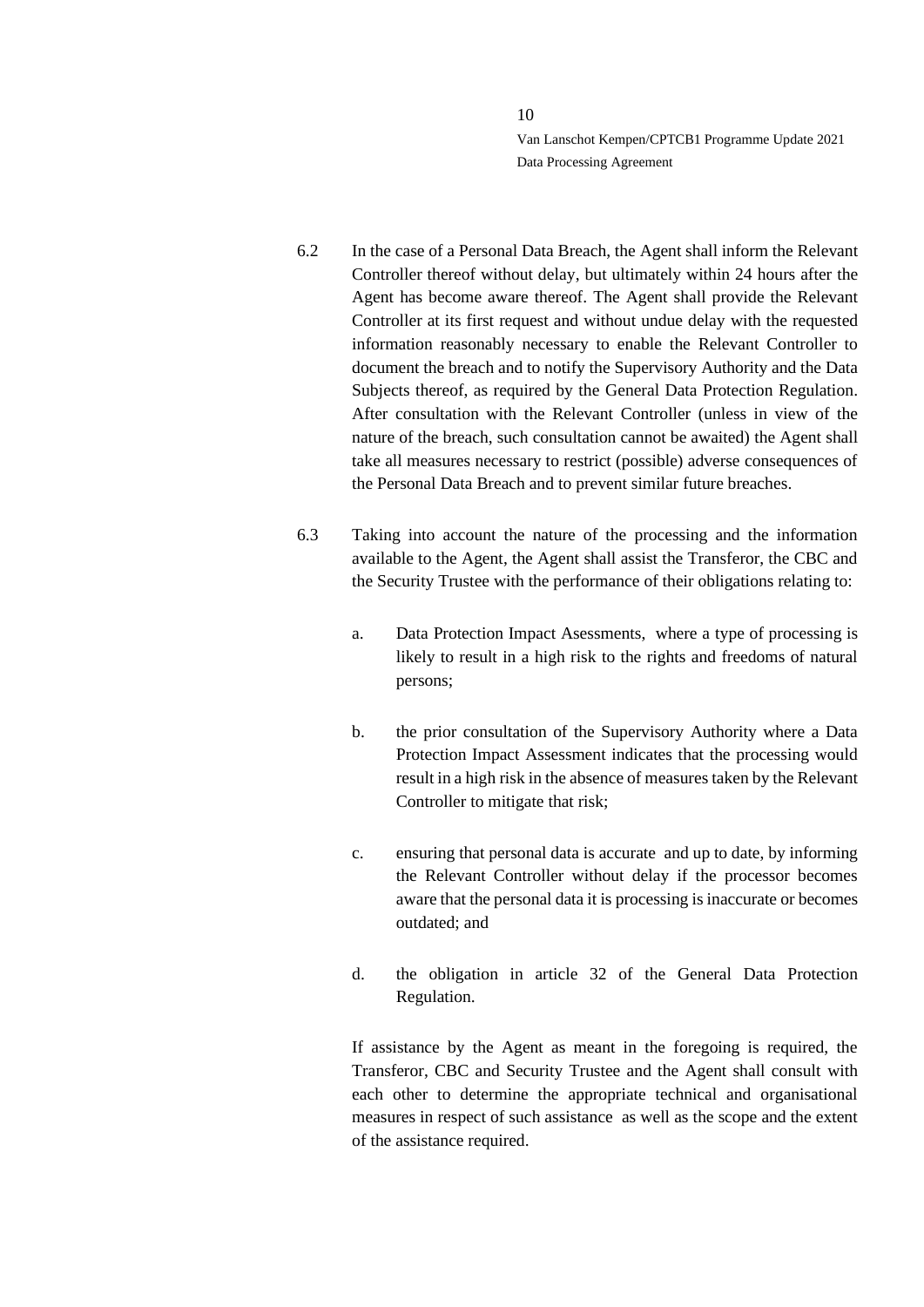- 6.2 In the case of a Personal Data Breach, the Agent shall inform the Relevant Controller thereof without delay, but ultimately within 24 hours after the Agent has become aware thereof. The Agent shall provide the Relevant Controller at its first request and without undue delay with the requested information reasonably necessary to enable the Relevant Controller to document the breach and to notify the Supervisory Authority and the Data Subjects thereof, as required by the General Data Protection Regulation. After consultation with the Relevant Controller (unless in view of the nature of the breach, such consultation cannot be awaited) the Agent shall take all measures necessary to restrict (possible) adverse consequences of the Personal Data Breach and to prevent similar future breaches.
- 6.3 Taking into account the nature of the processing and the information available to the Agent, the Agent shall assist the Transferor, the CBC and the Security Trustee with the performance of their obligations relating to:
	- a. Data Protection Impact Asessments, where a type of processing is likely to result in a high risk to the rights and freedoms of natural persons;
	- b. the prior consultation of the Supervisory Authority where a Data Protection Impact Assessment indicates that the processing would result in a high risk in the absence of measures taken by the Relevant Controller to mitigate that risk;
	- c. ensuring that personal data is accurate and up to date, by informing the Relevant Controller without delay if the processor becomes aware that the personal data it is processing is inaccurate or becomes outdated; and
	- d. the obligation in article 32 of the General Data Protection Regulation.

If assistance by the Agent as meant in the foregoing is required, the Transferor, CBC and Security Trustee and the Agent shall consult with each other to determine the appropriate technical and organisational measures in respect of such assistance as well as the scope and the extent of the assistance required.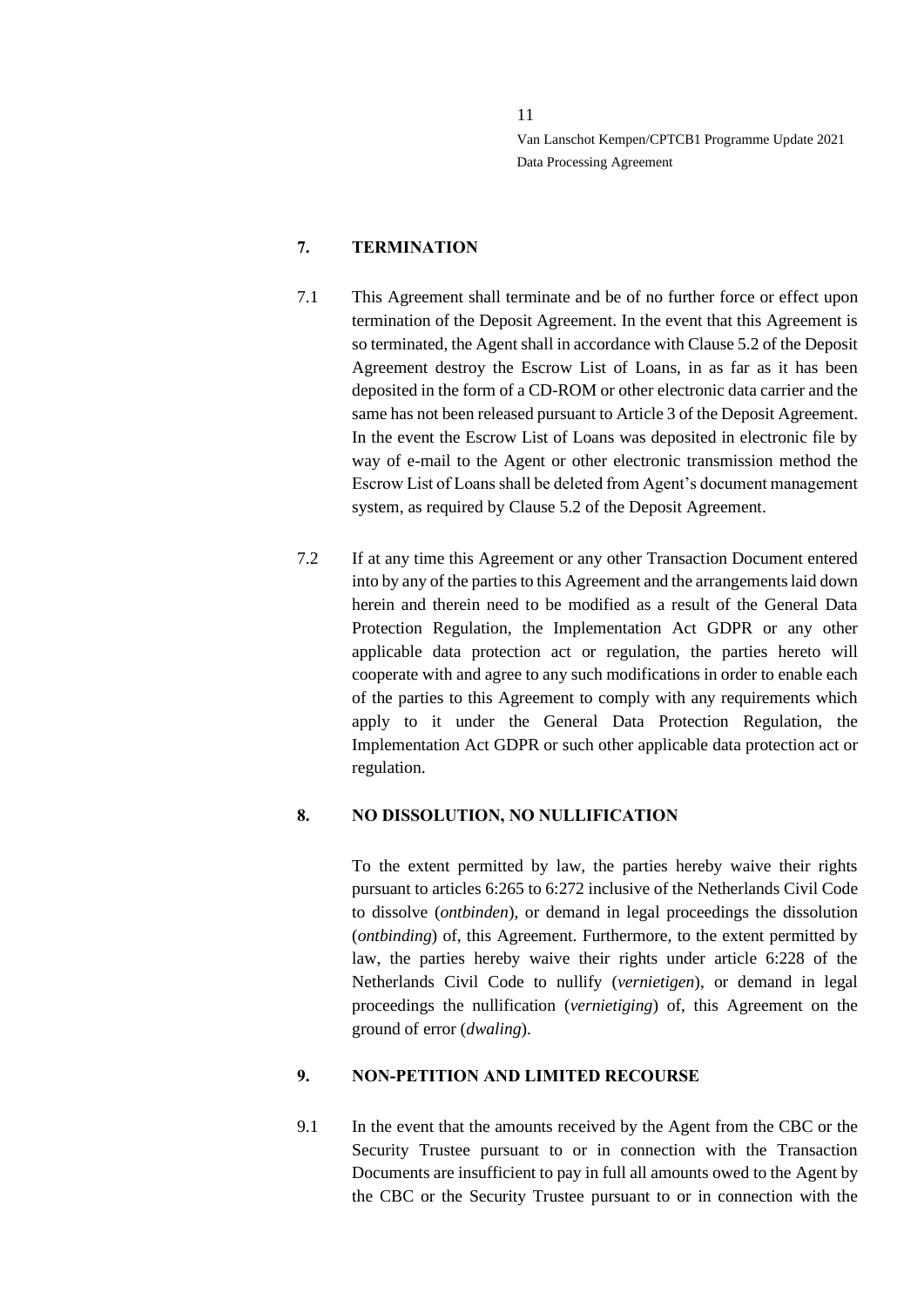# <span id="page-10-0"></span>**7. TERMINATION**

- 7.1 This Agreement shall terminate and be of no further force or effect upon termination of the Deposit Agreement. In the event that this Agreement is so terminated, the Agent shall in accordance with Clause 5.2 of the Deposit Agreement destroy the Escrow List of Loans, in as far as it has been deposited in the form of a CD-ROM or other electronic data carrier and the same has not been released pursuant to Article 3 of the Deposit Agreement. In the event the Escrow List of Loans was deposited in electronic file by way of e-mail to the Agent or other electronic transmission method the Escrow List of Loans shall be deleted from Agent's document management system, as required by Clause 5.2 of the Deposit Agreement.
- 7.2 If at any time this Agreement or any other Transaction Document entered into by any of the parties to this Agreement and the arrangements laid down herein and therein need to be modified as a result of the General Data Protection Regulation, the Implementation Act GDPR or any other applicable data protection act or regulation, the parties hereto will cooperate with and agree to any such modifications in order to enable each of the parties to this Agreement to comply with any requirements which apply to it under the General Data Protection Regulation, the Implementation Act GDPR or such other applicable data protection act or regulation.

#### <span id="page-10-1"></span>**8. NO DISSOLUTION, NO NULLIFICATION**

To the extent permitted by law, the parties hereby waive their rights pursuant to articles 6:265 to 6:272 inclusive of the Netherlands Civil Code to dissolve (*ontbinden*), or demand in legal proceedings the dissolution (*ontbinding*) of, this Agreement. Furthermore, to the extent permitted by law, the parties hereby waive their rights under article 6:228 of the Netherlands Civil Code to nullify (*vernietigen*), or demand in legal proceedings the nullification (*vernietiging*) of, this Agreement on the ground of error (*dwaling*).

#### <span id="page-10-2"></span>**9. NON-PETITION AND LIMITED RECOURSE**

9.1 In the event that the amounts received by the Agent from the CBC or the Security Trustee pursuant to or in connection with the Transaction Documents are insufficient to pay in full all amounts owed to the Agent by the CBC or the Security Trustee pursuant to or in connection with the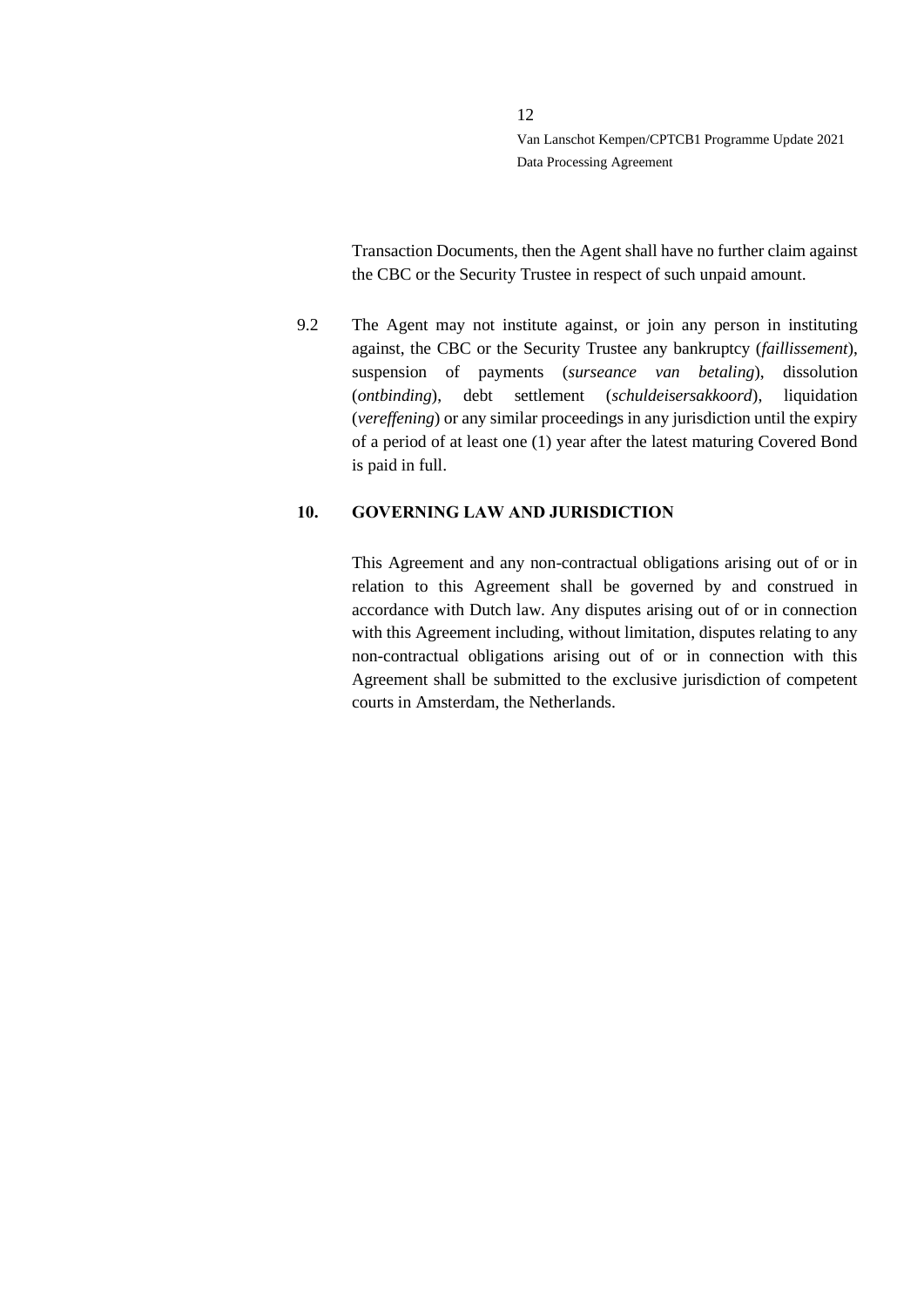Transaction Documents, then the Agent shall have no further claim against the CBC or the Security Trustee in respect of such unpaid amount.

9.2 The Agent may not institute against, or join any person in instituting against, the CBC or the Security Trustee any bankruptcy (*faillissement*), suspension of payments (*surseance van betaling*), dissolution (*ontbinding*), debt settlement (*schuldeisersakkoord*), liquidation (*vereffening*) or any similar proceedings in any jurisdiction until the expiry of a period of at least one (1) year after the latest maturing Covered Bond is paid in full.

#### <span id="page-11-0"></span>**10. GOVERNING LAW AND JURISDICTION**

This Agreement and any non-contractual obligations arising out of or in relation to this Agreement shall be governed by and construed in accordance with Dutch law. Any disputes arising out of or in connection with this Agreement including, without limitation, disputes relating to any non-contractual obligations arising out of or in connection with this Agreement shall be submitted to the exclusive jurisdiction of competent courts in Amsterdam, the Netherlands.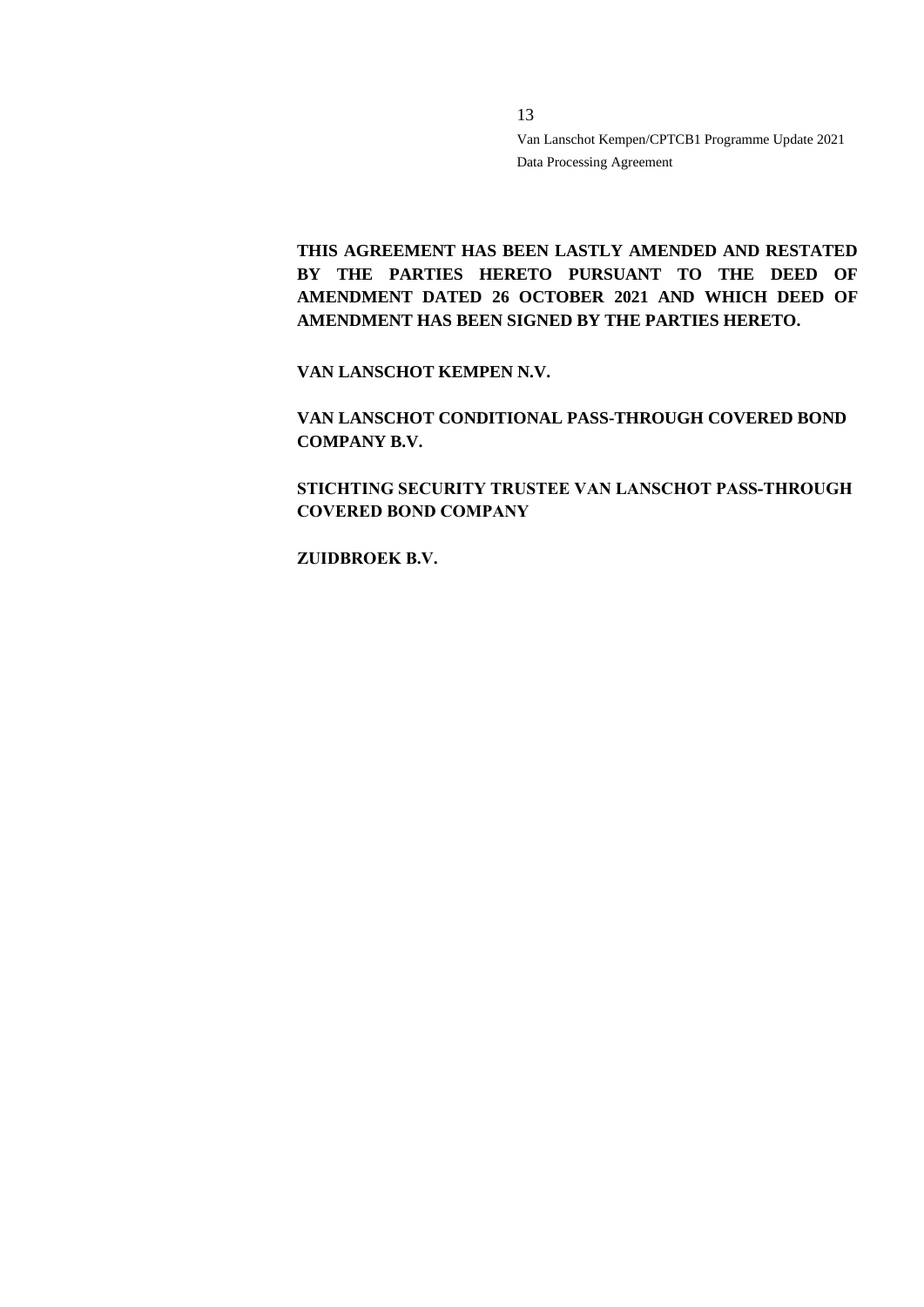**THIS AGREEMENT HAS BEEN LASTLY AMENDED AND RESTATED**  BY THE PARTIES HERETO PURSUANT TO THE DEED OF **AMENDMENT DATED 26 OCTOBER 2021 AND WHICH DEED OF AMENDMENT HAS BEEN SIGNED BY THE PARTIES HERETO.**

13

**VAN LANSCHOT KEMPEN N.V.**

**VAN LANSCHOT CONDITIONAL PASS-THROUGH COVERED BOND COMPANY B.V.**

**STICHTING SECURITY TRUSTEE VAN LANSCHOT PASS-THROUGH COVERED BOND COMPANY**

**ZUIDBROEK B.V.**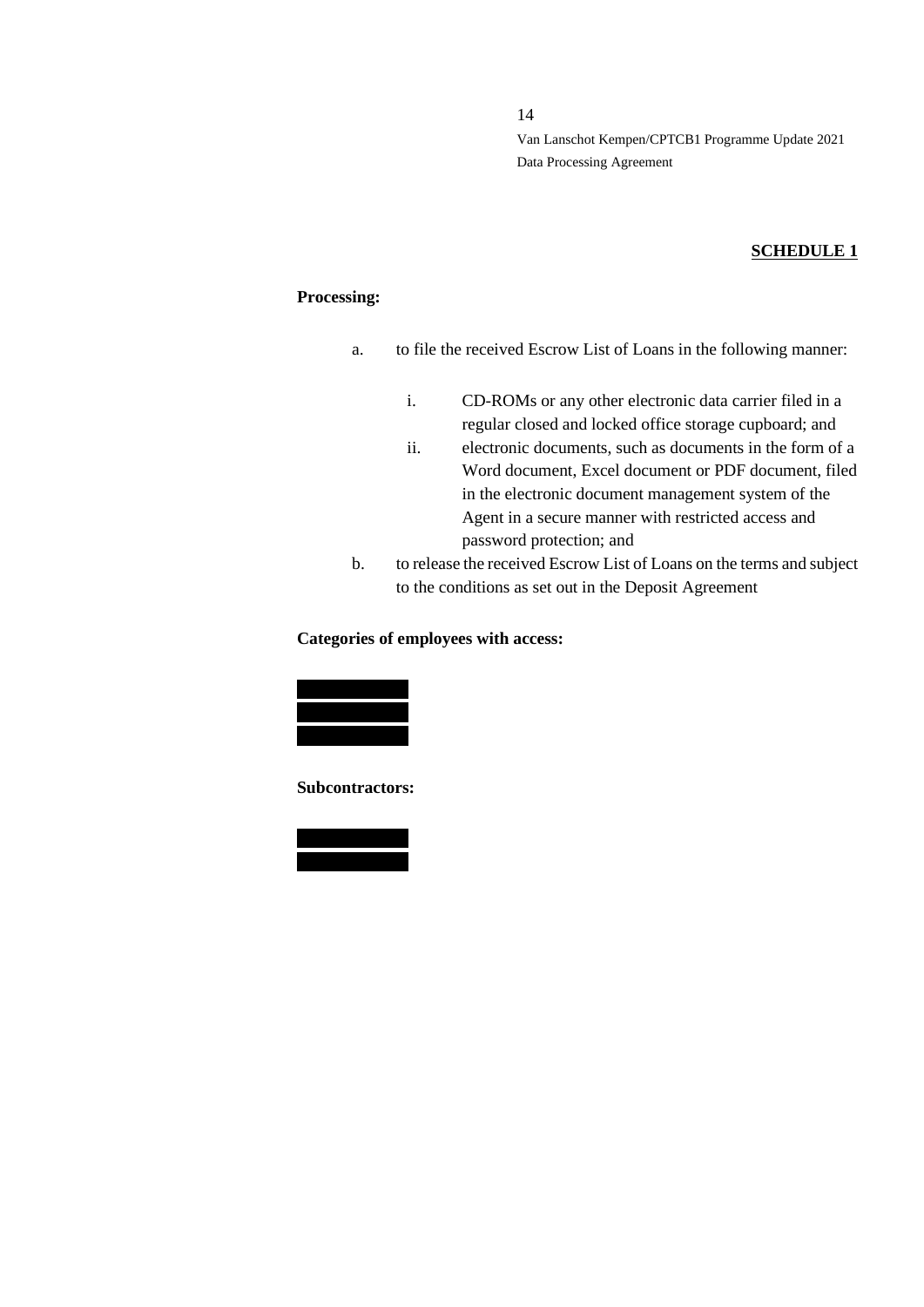14

Van Lanschot Kempen/CPTCB1 Programme Update 2021 Data Processing Agreement

# **SCHEDULE 1**

### **Processing:**

- a. to file the received Escrow List of Loans in the following manner:
	- i. CD-ROMs or any other electronic data carrier filed in a regular closed and locked office storage cupboard; and
	- ii. electronic documents, such as documents in the form of a Word document, Excel document or PDF document, filed in the electronic document management system of the Agent in a secure manner with restricted access and password protection; and
- b. to release the received Escrow List of Loans on the terms and subject to the conditions as set out in the Deposit Agreement

## **Categories of employees with access:**



**Subcontractors:**

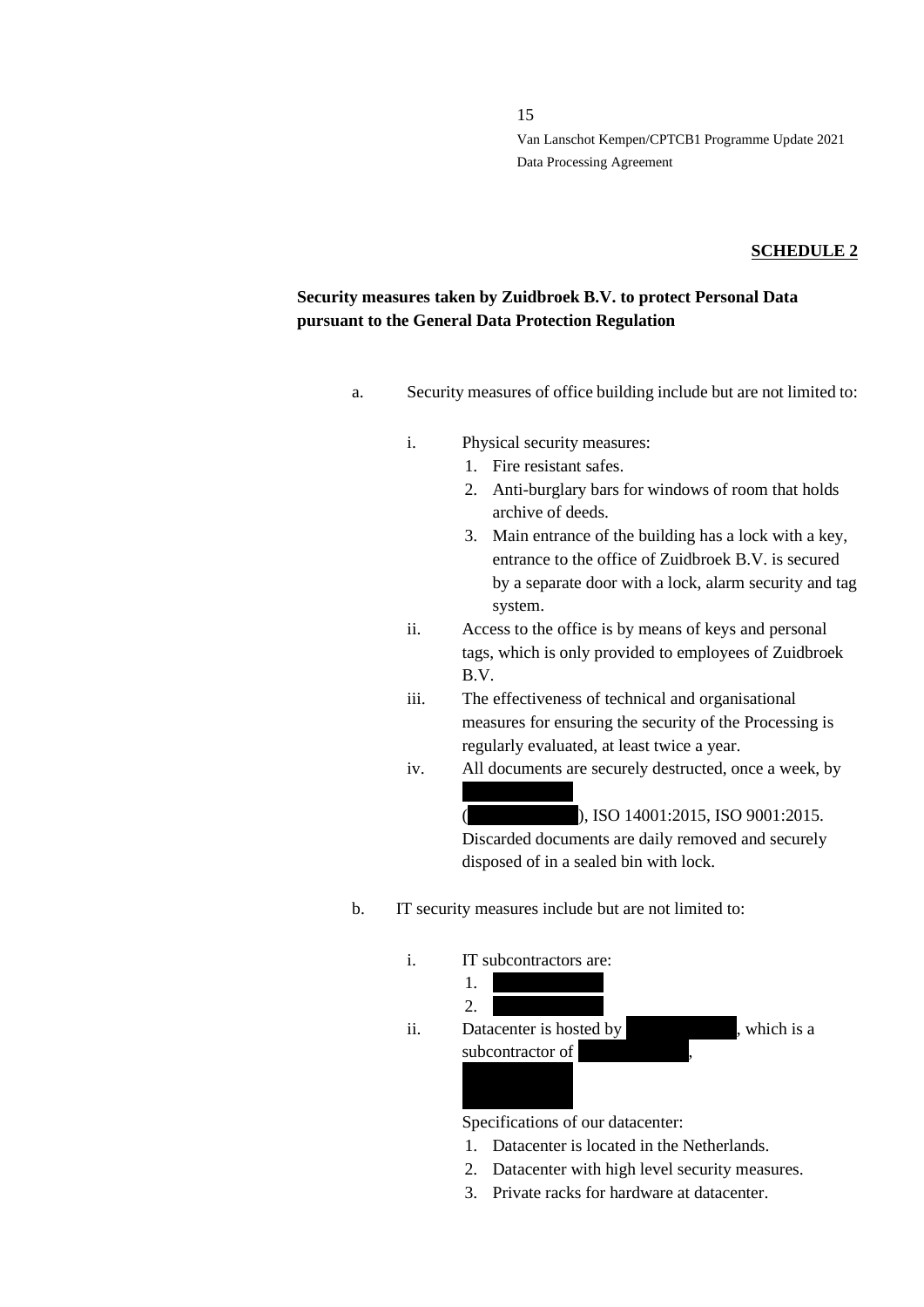#### **SCHEDULE 2**

# **Security measures taken by Zuidbroek B.V. to protect Personal Data pursuant to the General Data Protection Regulation**

- a. Security measures of office building include but are not limited to:
	- i. Physical security measures:
		- 1. Fire resistant safes.
		- 2. Anti-burglary bars for windows of room that holds archive of deeds.
		- 3. Main entrance of the building has a lock with a key, entrance to the office of Zuidbroek B.V. is secured by a separate door with a lock, alarm security and tag system.
	- ii. Access to the office is by means of keys and personal tags, which is only provided to employees of Zuidbroek B.V.
	- iii. The effectiveness of technical and organisational measures for ensuring the security of the Processing is regularly evaluated, at least twice a year.
	- iv. All documents are securely destructed, once a week, by

 $(X, X, S)$ , ISO 14001:2015, ISO 9001:2015.

Discarded documents are daily removed and securely disposed of in a sealed bin with lock.

b. IT security measures include but are not limited to:



Specifications of our datacenter:

- 1. Datacenter is located in the Netherlands.
- 2. Datacenter with high level security measures.
- 3. Private racks for hardware at datacenter.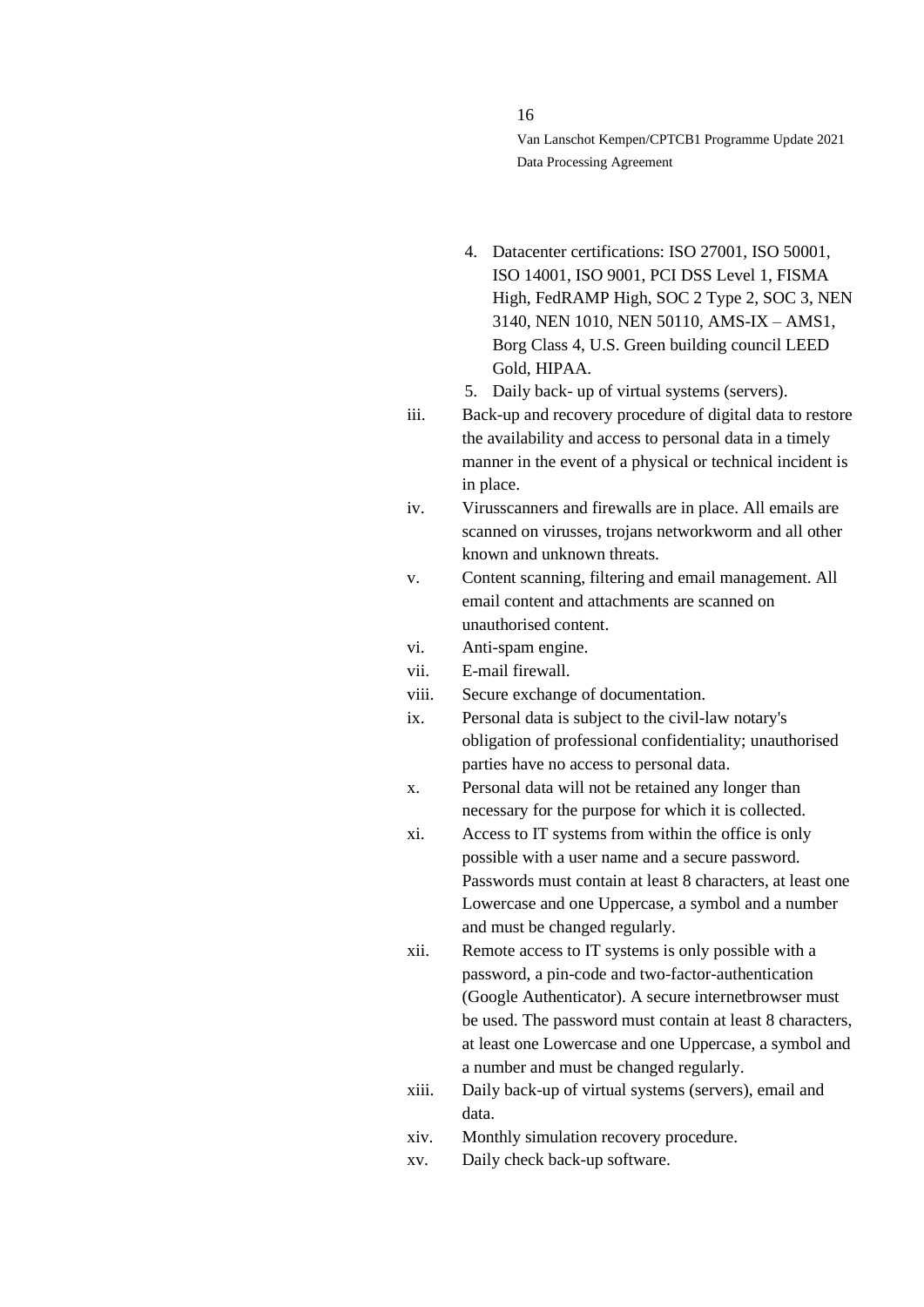16

Van Lanschot Kempen/CPTCB1 Programme Update 2021 Data Processing Agreement

- 4. Datacenter certifications: ISO 27001, ISO 50001, ISO 14001, ISO 9001, PCI DSS Level 1, FISMA High, FedRAMP High, SOC 2 Type 2, SOC 3, NEN 3140, NEN 1010, NEN 50110, AMS-IX – AMS1, Borg Class 4, U.S. Green building council LEED Gold, HIPAA.
- 5. Daily back- up of virtual systems (servers).
- iii. Back-up and recovery procedure of digital data to restore the availability and access to personal data in a timely manner in the event of a physical or technical incident is in place.
- iv. Virusscanners and firewalls are in place. All emails are scanned on virusses, trojans networkworm and all other known and unknown threats.
- v. Content scanning, filtering and email management. All email content and attachments are scanned on unauthorised content.
- vi. Anti-spam engine.
- vii. E-mail firewall.
- viii. Secure exchange of documentation.
- ix. Personal data is subject to the civil-law notary's obligation of professional confidentiality; unauthorised parties have no access to personal data.
- x. Personal data will not be retained any longer than necessary for the purpose for which it is collected.
- xi. Access to IT systems from within the office is only possible with a user name and a secure password. Passwords must contain at least 8 characters, at least one Lowercase and one Uppercase, a symbol and a number and must be changed regularly.
- xii. Remote access to IT systems is only possible with a password, a pin-code and two-factor-authentication (Google Authenticator). A secure internetbrowser must be used. The password must contain at least 8 characters, at least one Lowercase and one Uppercase, a symbol and a number and must be changed regularly.
- xiii. Daily back-up of virtual systems (servers), email and data.
- xiv. Monthly simulation recovery procedure.
- xv. Daily check back-up software.